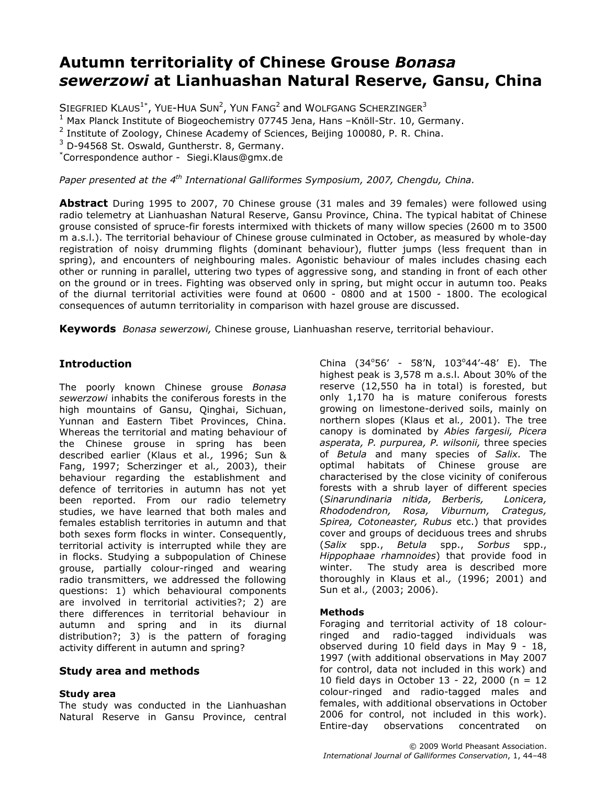# Autumn territoriality of Chinese Grouse Bonasa sewerzowi at Lianhuashan Natural Reserve, Gansu, China

SIEGFRIED KLAUS<sup>1\*</sup>, YUE-HUA SUN<sup>2</sup>, YUN FANG<sup>2</sup> and WOLFGANG SCHERZINGER<sup>3</sup>

<sup>1</sup> Max Planck Institute of Biogeochemistry 07745 Jena, Hans -Knöll-Str. 10, Germany.

 $2$  Institute of Zoology, Chinese Academy of Sciences, Beijing 100080, P. R. China.

 $3$  D-94568 St. Oswald, Guntherstr. 8, Germany.

\*Correspondence author - Siegi.Klaus@gmx.de

Paper presented at the  $4<sup>th</sup>$  International Galliformes Symposium, 2007, Chengdu, China.

Abstract During 1995 to 2007, 70 Chinese grouse (31 males and 39 females) were followed using radio telemetry at Lianhuashan Natural Reserve, Gansu Province, China. The typical habitat of Chinese grouse consisted of spruce-fir forests intermixed with thickets of many willow species (2600 m to 3500 m a.s.l.). The territorial behaviour of Chinese grouse culminated in October, as measured by whole-day registration of noisy drumming flights (dominant behaviour), flutter jumps (less frequent than in spring), and encounters of neighbouring males. Agonistic behaviour of males includes chasing each other or running in parallel, uttering two types of aggressive song, and standing in front of each other on the ground or in trees. Fighting was observed only in spring, but might occur in autumn too. Peaks of the diurnal territorial activities were found at 0600 - 0800 and at 1500 - 1800. The ecological consequences of autumn territoriality in comparison with hazel grouse are discussed.

Keywords Bonasa sewerzowi, Chinese grouse, Lianhuashan reserve, territorial behaviour.

### **Introduction**

The poorly known Chinese grouse Bonasa sewerzowi inhabits the coniferous forests in the high mountains of Gansu, Qinghai, Sichuan, Yunnan and Eastern Tibet Provinces, China. Whereas the territorial and mating behaviour of the Chinese grouse in spring has been described earlier (Klaus et al., 1996; Sun & Fang, 1997; Scherzinger et al., 2003), their behaviour regarding the establishment and defence of territories in autumn has not yet been reported. From our radio telemetry studies, we have learned that both males and females establish territories in autumn and that both sexes form flocks in winter. Consequently, territorial activity is interrupted while they are in flocks. Studying a subpopulation of Chinese grouse, partially colour-ringed and wearing radio transmitters, we addressed the following questions: 1) which behavioural components are involved in territorial activities?; 2) are there differences in territorial behaviour in autumn and spring and in its diurnal distribution?; 3) is the pattern of foraging activity different in autumn and spring?

### Study area and methods

### Study area

The study was conducted in the Lianhuashan Natural Reserve in Gansu Province, central

China  $(34^{\circ}56' - 58'N, 103^{\circ}44' - 48' E)$ . The highest peak is 3,578 m a.s.l. About 30% of the reserve (12,550 ha in total) is forested, but only 1,170 ha is mature coniferous forests growing on limestone-derived soils, mainly on northern slopes (Klaus et al., 2001). The tree canopy is dominated by Abies fargesii, Picera asperata, P. purpurea, P. wilsonii, three species of Betula and many species of Salix. The optimal habitats of Chinese grouse are characterised by the close vicinity of coniferous forests with a shrub layer of different species (Sinarundinaria nitida, Berberis, Lonicera, Rhododendron, Rosa, Viburnum, Crategus, Spirea, Cotoneaster, Rubus etc.) that provides cover and groups of deciduous trees and shrubs (Salix spp., Betula spp., Sorbus spp., Hippophaae rhamnoides) that provide food in winter. The study area is described more thoroughly in Klaus et al., (1996; 2001) and Sun et al., (2003; 2006).

### **Methods**

Foraging and territorial activity of 18 colourringed and radio-tagged individuals was observed during 10 field days in May 9 - 18, 1997 (with additional observations in May 2007 for control, data not included in this work) and 10 field days in October 13 - 22, 2000 (n = 12 colour-ringed and radio-tagged males and females, with additional observations in October 2006 for control, not included in this work). Entire-day observations concentrated on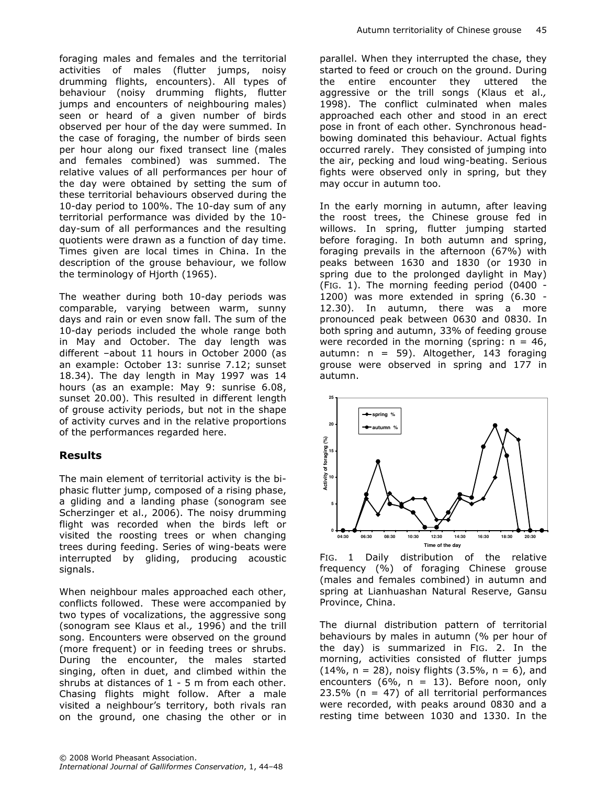foraging males and females and the territorial activities of males (flutter jumps, noisy drumming flights, encounters). All types of behaviour (noisy drumming flights, flutter jumps and encounters of neighbouring males) seen or heard of a given number of birds observed per hour of the day were summed. In the case of foraging, the number of birds seen per hour along our fixed transect line (males and females combined) was summed. The relative values of all performances per hour of the day were obtained by setting the sum of these territorial behaviours observed during the 10-day period to 100%. The 10-day sum of any territorial performance was divided by the 10 day-sum of all performances and the resulting quotients were drawn as a function of day time. Times given are local times in China. In the description of the grouse behaviour, we follow the terminology of Hjorth (1965).

The weather during both 10-day periods was comparable, varying between warm, sunny days and rain or even snow fall. The sum of the 10-day periods included the whole range both in May and October. The day length was different –about 11 hours in October 2000 (as an example: October 13: sunrise 7.12; sunset 18.34). The day length in May 1997 was 14 hours (as an example: May 9: sunrise 6.08, sunset 20.00). This resulted in different length of grouse activity periods, but not in the shape of activity curves and in the relative proportions of the performances regarded here.

### Results

The main element of territorial activity is the biphasic flutter jump, composed of a rising phase, a gliding and a landing phase (sonogram see Scherzinger et al., 2006). The noisy drumming flight was recorded when the birds left or visited the roosting trees or when changing trees during feeding. Series of wing-beats were interrupted by gliding, producing acoustic signals.

When neighbour males approached each other, conflicts followed. These were accompanied by two types of vocalizations, the aggressive song (sonogram see Klaus et al., 1996) and the trill song. Encounters were observed on the ground (more frequent) or in feeding trees or shrubs. During the encounter, the males started singing, often in duet, and climbed within the shrubs at distances of 1 - 5 m from each other. Chasing flights might follow. After a male visited a neighbour's territory, both rivals ran on the ground, one chasing the other or in parallel. When they interrupted the chase, they started to feed or crouch on the ground. During the entire encounter they uttered the aggressive or the trill songs (Klaus et al., 1998). The conflict culminated when males approached each other and stood in an erect pose in front of each other. Synchronous headbowing dominated this behaviour. Actual fights occurred rarely. They consisted of jumping into the air, pecking and loud wing-beating. Serious fights were observed only in spring, but they may occur in autumn too.

In the early morning in autumn, after leaving the roost trees, the Chinese grouse fed in willows. In spring, flutter jumping started before foraging. In both autumn and spring, foraging prevails in the afternoon (67%) with peaks between 1630 and 1830 (or 1930 in spring due to the prolonged daylight in May) (FIG. 1). The morning feeding period (0400 - 1200) was more extended in spring (6.30 - 12.30). In autumn, there was a more pronounced peak between 0630 and 0830. In both spring and autumn, 33% of feeding grouse were recorded in the morning (spring:  $n = 46$ , autumn:  $n = 59$ ). Altogether, 143 foraging grouse were observed in spring and 177 in autumn.



FIG. 1 Daily distribution of the relative frequency (%) of foraging Chinese grouse (males and females combined) in autumn and spring at Lianhuashan Natural Reserve, Gansu Province, China.

The diurnal distribution pattern of territorial behaviours by males in autumn (% per hour of the day) is summarized in FIG. 2. In the morning, activities consisted of flutter jumps (14%,  $n = 28$ ), noisy flights (3.5%,  $n = 6$ ), and encounters (6%,  $n = 13$ ). Before noon, only  $23.5\%$  (n = 47) of all territorial performances were recorded, with peaks around 0830 and a resting time between 1030 and 1330. In the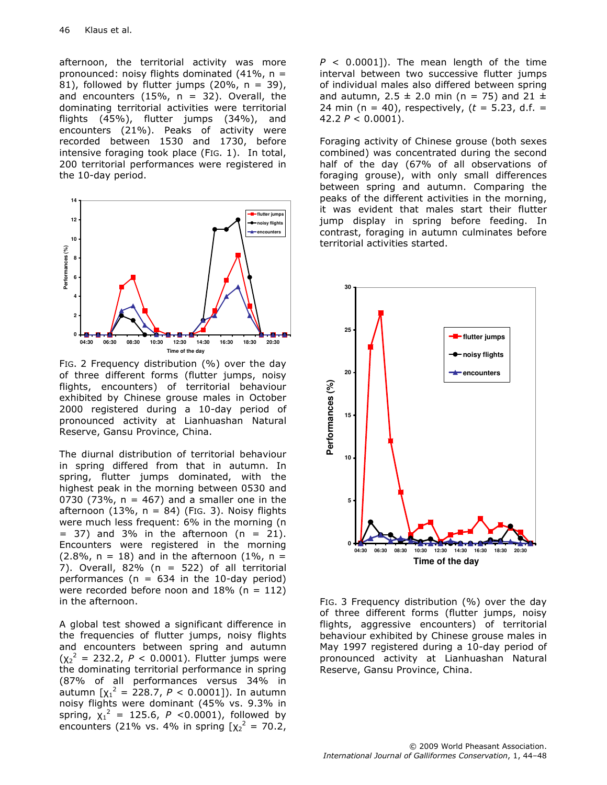afternoon, the territorial activity was more pronounced: noisy flights dominated  $(41\% , n =$ 81), followed by flutter jumps (20%,  $n = 39$ ), and encounters  $(15\% , n = 32)$ . Overall, the dominating territorial activities were territorial flights (45%), flutter jumps (34%), and encounters (21%). Peaks of activity were recorded between 1530 and 1730, before intensive foraging took place (FIG. 1). In total, 200 territorial performances were registered in the 10-day period.



FIG. 2 Frequency distribution (%) over the day of three different forms (flutter jumps, noisy flights, encounters) of territorial behaviour exhibited by Chinese grouse males in October 2000 registered during a 10-day period of pronounced activity at Lianhuashan Natural Reserve, Gansu Province, China.

The diurnal distribution of territorial behaviour in spring differed from that in autumn. In spring, flutter jumps dominated, with the highest peak in the morning between 0530 and 0730 (73%,  $n = 467$ ) and a smaller one in the afternoon  $(13\%, n = 84)$  (Fig. 3). Noisy flights were much less frequent: 6% in the morning (n  $= 37$ ) and 3% in the afternoon (n = 21). Encounters were registered in the morning  $(2.8\% , n = 18)$  and in the afternoon  $(1\% , n = 18)$ 7). Overall,  $82\%$  (n = 522) of all territorial performances ( $n = 634$  in the 10-day period) were recorded before noon and  $18\%$  (n = 112) in the afternoon.

A global test showed a significant difference in the frequencies of flutter jumps, noisy flights and encounters between spring and autumn  $(\chi_2^2 = 232.2, P < 0.0001)$ . Flutter jumps were the dominating territorial performance in spring (87% of all performances versus 34% in autumn  $[\chi_1^2 = 228.7, P < 0.0001]$ ). In autumn noisy flights were dominant (45% vs. 9.3% in spring,  $\chi_1^2 = 125.6$ , P <0.0001), followed by encounters (21% vs. 4% in spring  $[x_2^2 = 70.2]$ ,  $P < 0.0001$ ]). The mean length of the time interval between two successive flutter jumps of individual males also differed between spring and autumn, 2.5  $\pm$  2.0 min (n = 75) and 21  $\pm$ 24 min (n = 40), respectively, ( $t = 5.23$ , d.f. = 42.2  $P < 0.0001$ ).

Foraging activity of Chinese grouse (both sexes combined) was concentrated during the second half of the day (67% of all observations of foraging grouse), with only small differences between spring and autumn. Comparing the peaks of the different activities in the morning, it was evident that males start their flutter jump display in spring before feeding. In contrast, foraging in autumn culminates before territorial activities started.



FIG. 3 Frequency distribution (%) over the day of three different forms (flutter jumps, noisy flights, aggressive encounters) of territorial behaviour exhibited by Chinese grouse males in May 1997 registered during a 10-day period of pronounced activity at Lianhuashan Natural Reserve, Gansu Province, China.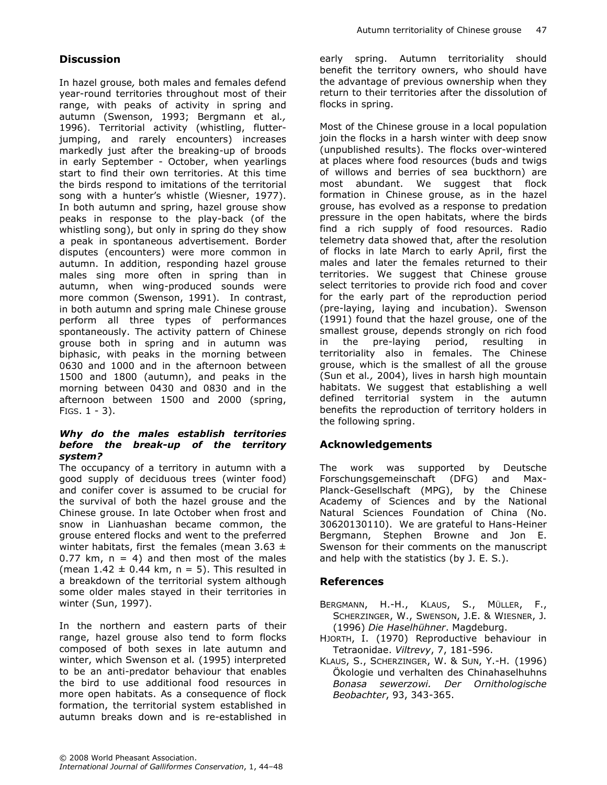# **Discussion**

In hazel grouse, both males and females defend year-round territories throughout most of their range, with peaks of activity in spring and autumn (Swenson, 1993; Bergmann et al., 1996). Territorial activity (whistling, flutterjumping, and rarely encounters) increases markedly just after the breaking-up of broods in early September - October, when yearlings start to find their own territories. At this time the birds respond to imitations of the territorial song with a hunter's whistle (Wiesner, 1977). In both autumn and spring, hazel grouse show peaks in response to the play-back (of the whistling song), but only in spring do they show a peak in spontaneous advertisement. Border disputes (encounters) were more common in autumn. In addition, responding hazel grouse males sing more often in spring than in autumn, when wing-produced sounds were more common (Swenson, 1991). In contrast, in both autumn and spring male Chinese grouse perform all three types of performances spontaneously. The activity pattern of Chinese grouse both in spring and in autumn was biphasic, with peaks in the morning between 0630 and 1000 and in the afternoon between 1500 and 1800 (autumn), and peaks in the morning between 0430 and 0830 and in the afternoon between 1500 and 2000 (spring, FIGS.  $1 - 3$ ).

#### Why do the males establish territories before the break-up of the territory system?

The occupancy of a territory in autumn with a good supply of deciduous trees (winter food) and conifer cover is assumed to be crucial for the survival of both the hazel grouse and the Chinese grouse. In late October when frost and snow in Lianhuashan became common, the grouse entered flocks and went to the preferred winter habitats, first the females (mean  $3.63 \pm$ 0.77 km,  $n = 4$ ) and then most of the males (mean  $1.42 \pm 0.44$  km, n = 5). This resulted in a breakdown of the territorial system although some older males stayed in their territories in winter (Sun, 1997).

In the northern and eastern parts of their range, hazel grouse also tend to form flocks composed of both sexes in late autumn and winter, which Swenson et al. (1995) interpreted to be an anti-predator behaviour that enables the bird to use additional food resources in more open habitats. As a consequence of flock formation, the territorial system established in autumn breaks down and is re-established in early spring. Autumn territoriality should benefit the territory owners, who should have the advantage of previous ownership when they return to their territories after the dissolution of flocks in spring.

Most of the Chinese grouse in a local population join the flocks in a harsh winter with deep snow (unpublished results). The flocks over-wintered at places where food resources (buds and twigs of willows and berries of sea buckthorn) are most abundant. We suggest that flock formation in Chinese grouse, as in the hazel grouse, has evolved as a response to predation pressure in the open habitats, where the birds find a rich supply of food resources. Radio telemetry data showed that, after the resolution of flocks in late March to early April, first the males and later the females returned to their territories. We suggest that Chinese grouse select territories to provide rich food and cover for the early part of the reproduction period (pre-laying, laying and incubation). Swenson (1991) found that the hazel grouse, one of the smallest grouse, depends strongly on rich food in the pre-laying period, resulting in territoriality also in females. The Chinese grouse, which is the smallest of all the grouse (Sun et al., 2004), lives in harsh high mountain habitats. We suggest that establishing a well defined territorial system in the autumn benefits the reproduction of territory holders in the following spring.

## Acknowledgements

The work was supported by Deutsche Forschungsgemeinschaft (DFG) and Max-Planck-Gesellschaft (MPG), by the Chinese Academy of Sciences and by the National Natural Sciences Foundation of China (No. 30620130110). We are grateful to Hans-Heiner Bergmann, Stephen Browne and Jon E. Swenson for their comments on the manuscript and help with the statistics (by J. E. S.).

### References

- BERGMANN, H.-H., KLAUS, S., MÜLLER, F., SCHERZINGER, W., SWENSON, J.E. & WIESNER, J. (1996) Die Haselhühner. Magdeburg.
- HJORTH, I. (1970) Reproductive behaviour in Tetraonidae. Viltrevy, 7, 181-596.
- KLAUS, S., SCHERZINGER, W. & SUN, Y.-H. (1996) Ökologie und verhalten des Chinahaselhuhns Bonasa sewerzowi. Der Ornithologische Beobachter, 93, 343-365.